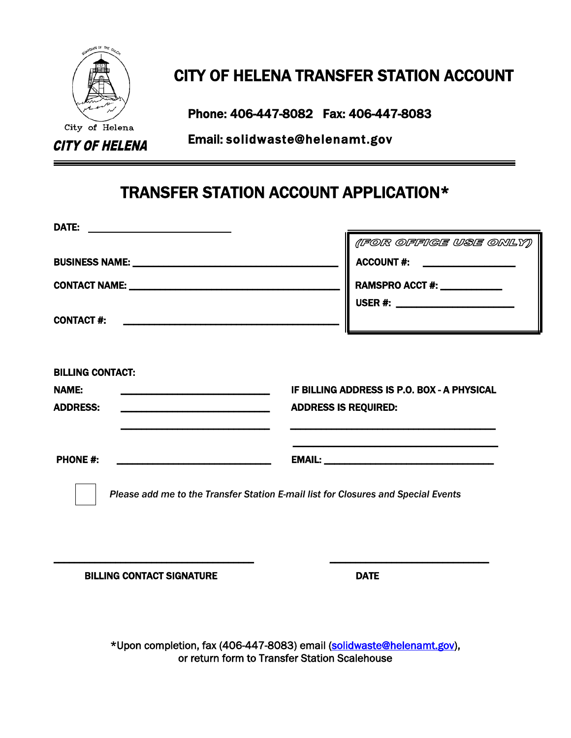

## CITY OF HELENA TRANSFER STATION ACCOUNT

Phone: 406-447-8082 Fax: 406-447-8083<br>City of Helena

CITY OF HELENA Email: solidwaste@helenamt.gov

## TRANSFER STATION ACCOUNT APPLICATION\*

|                                                                                            | (FOR OFFIGE USE ONLY)                                                             |
|--------------------------------------------------------------------------------------------|-----------------------------------------------------------------------------------|
|                                                                                            | ACCOUNT #: ___________________                                                    |
| CONTACT NAME: University of the CONTACT NAME:                                              | RAMSPRO ACCT #: ____________<br>USER #: __________________________                |
| <b>CONTACT #:</b>                                                                          |                                                                                   |
| <b>NAME:</b><br><b>ADDRESS:</b><br><u> 1980 - Johann Barbara, martin amerikan basar da</u> | IF BILLING ADDRESS IS P.O. BOX - A PHYSICAL<br><b>ADDRESS IS REQUIRED:</b>        |
| <b>PHONE #:</b>                                                                            |                                                                                   |
|                                                                                            | Please add me to the Transfer Station E-mail list for Closures and Special Events |

BILLING CONTACT SIGNATURE **EXECUTE SIGNATURE** 

 \*Upon completion, fax (406-447-8083) email [\(solidwaste@helenamt.gov\)](mailto:solidwaste@helenamt.gov), or return form to Transfer Station Scalehouse